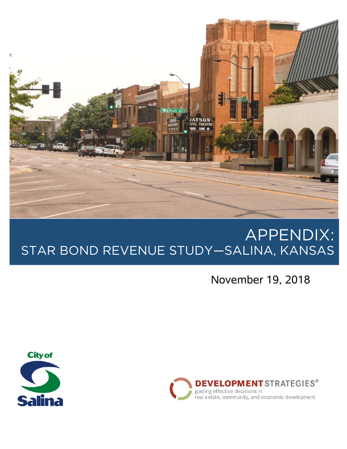

# APPENDIX: STAR BOND REVENUE STUDY—SALINA, KANSAS

November 19, 2018



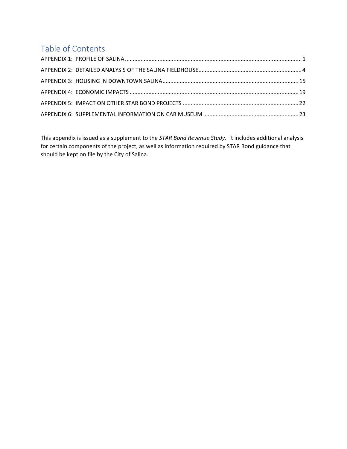# Table of Contents

This appendix is issued as a supplement to the *STAR Bond Revenue Study*. It includes additional analysis for certain components of the project, as well as information required by STAR Bond guidance that should be kept on file by the City of Salina.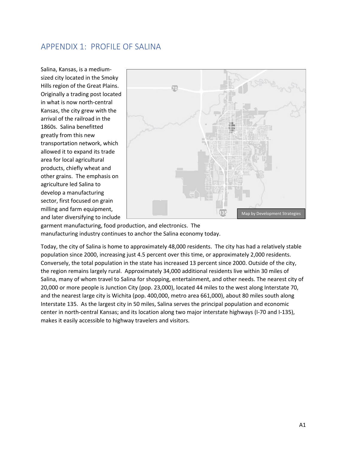### APPENDIX 1: PROFILE OF SALINA

Salina, Kansas, is a medium‐ sized city located in the Smoky Hills region of the Great Plains. Originally a trading post located in what is now north‐central Kansas, the city grew with the arrival of the railroad in the 1860s. Salina benefitted greatly from this new transportation network, which allowed it to expand its trade area for local agricultural products, chiefly wheat and other grains. The emphasis on agriculture led Salina to develop a manufacturing sector, first focused on grain milling and farm equipment, and later diversifying to include



garment manufacturing, food production, and electronics. The manufacturing industry continues to anchor the Salina economy today.

Today, the city of Salina is home to approximately 48,000 residents. The city has had a relatively stable population since 2000, increasing just 4.5 percent over this time, or approximately 2,000 residents. Conversely, the total population in the state has increased 13 percent since 2000. Outside of the city, the region remains largely rural. Approximately 34,000 additional residents live within 30 miles of Salina, many of whom travel to Salina for shopping, entertainment, and other needs. The nearest city of 20,000 or more people is Junction City (pop. 23,000), located 44 miles to the west along Interstate 70, and the nearest large city is Wichita (pop. 400,000, metro area 661,000), about 80 miles south along Interstate 135. As the largest city in 50 miles, Salina serves the principal population and economic center in north‐central Kansas; and its location along two major interstate highways (I‐70 and I‐135), makes it easily accessible to highway travelers and visitors.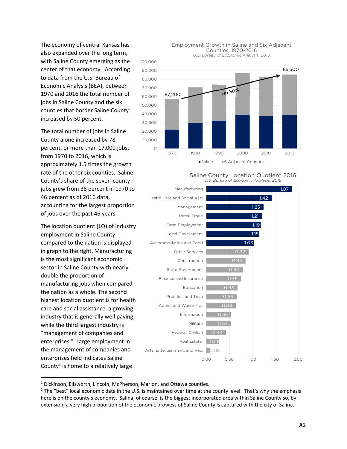The economy of central Kansas has also expanded over the long term, with Saline County emerging as the center of that economy. According to data from the U.S. Bureau of Economic Analysis (BEA), between 1970 and 2016 the total number of jobs in Saline County and the six counties that border Saline County<sup>1</sup> increased by 50 percent.

The total number of jobs in Saline County alone increased by 78 percent, or more than 17,000 jobs, from 1970 to 2016, which is approximately 1.5 times the growth rate of the other six counties. Saline County's share of the seven‐county jobs grew from 38 percent in 1970 to 46 percent as of 2016 data, accounting for the largest proportion of jobs over the past 46 years.

The location quotient (LQ) of industry employment in Saline County compared to the nation is displayed in graph to the right. Manufacturing is the most significant economic sector in Saline County with nearly double the proportion of manufacturing jobs when compared the nation as a whole. The second highest location quotient is for health care and social assistance, a growing industry that is generally well paying, while the third largest industry is "management of companies and enterprises." Large employment in the management of companies and enterprises field indicates Saline County<sup>2</sup> is home to a relatively large



#### Employment Growth in Saline and Six Adjacent Counties, 1970-2016

Saline County Location Quotient 2016 *U.S. Bureau of Economic Analysis, 2018*



<sup>&</sup>lt;sup>1</sup> Dickinson, Ellsworth, Lincoln, McPherson, Marion, and Ottawa counties.

 $2$  The "best" local economic data in the U.S. is maintained over time at the county level. That's why the emphasis here is on the county's economy. Salina, of course, is the biggest incorporated area within Saline County so, by extension, a very high proportion of the economic prowess of Saline County is captured with the city of Salina.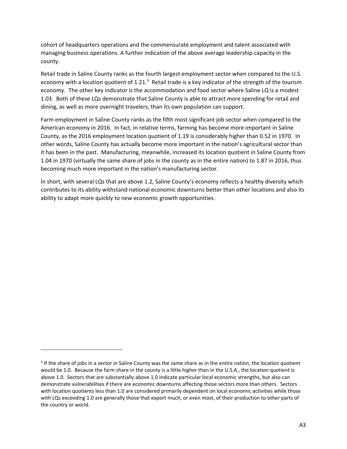cohort of headquarters operations and the commensurate employment and talent associated with managing business operations. A further indication of the above average leadership capacity in the county.

Retail trade in Saline County ranks as the fourth largest employment sector when compared to the U.S. economy with a location quotient of 1.21.<sup>3</sup> Retail trade is a key indicator of the strength of the tourism economy. The other key indicator is the accommodation and food sector where Saline LQ is a modest 1.03. Both of these LQs demonstrate that Saline County is able to attract more spending for retail and dining, as well as more overnight travelers, than its own population can support.

Farm employment in Saline County ranks as the fifth most significant job sector when compared to the American economy in 2016. In fact, in relative terms, farming has become more important in Saline County, as the 2016 employment location quotient of 1.19 is considerably higher than 0.52 in 1970. In other words, Saline County has actually become more important in the nation's agricultural sector than it has been in the past. Manufacturing, meanwhile, increased its location quotient in Saline County from 1.04 in 1970 (virtually the same share of jobs in the county as in the entire nation) to 1.87 in 2016, thus becoming much more important in the nation's manufacturing sector.

In short, with several LQs that are above 1.2, Saline County's economy reflects a healthy diversity which contributes to its ability withstand national economic downturns better than other locations and also its ability to adapt more quickly to new economic growth opportunities.

 $3$  If the share of jobs in a sector in Saline County was the same share as in the entire nation, the location quotient would be 1.0. Because the farm share in the county is a little higher than in the U.S.A., the location quotient is above 1.0. Sectors that are substantially above 1.0 indicate particular local economic strengths, but also can demonstrate vulnerabilities if there are economic downturns affecting those sectors more than others. Sectors with location quotients less than 1.0 are considered primarily dependent on local economic activities while those with LQs exceeding 1.0 are generally those that export much, or even most, of their production to other parts of the country or world.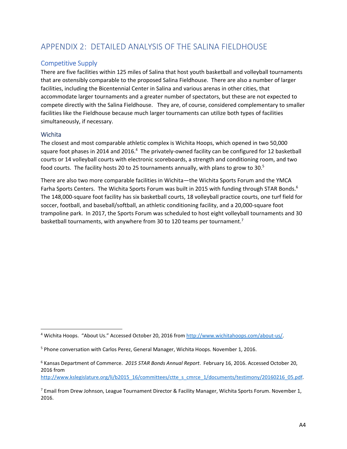# APPENDIX 2: DETAILED ANALYSIS OF THE SALINA FIELDHOUSE

#### Competitive Supply

There are five facilities within 125 miles of Salina that host youth basketball and volleyball tournaments that are ostensibly comparable to the proposed Salina Fieldhouse. There are also a number of larger facilities, including the Bicentennial Center in Salina and various arenas in other cities, that accommodate larger tournaments and a greater number of spectators, but these are not expected to compete directly with the Salina Fieldhouse. They are, of course, considered complementary to smaller facilities like the Fieldhouse because much larger tournaments can utilize both types of facilities simultaneously, if necessary.

#### **Wichita**

The closest and most comparable athletic complex is Wichita Hoops, which opened in two 50,000 square foot phases in 2014 and 2016.<sup>4</sup> The privately-owned facility can be configured for 12 basketball courts or 14 volleyball courts with electronic scoreboards, a strength and conditioning room, and two food courts. The facility hosts 20 to 25 tournaments annually, with plans to grow to 30.<sup>5</sup>

There are also two more comparable facilities in Wichita—the Wichita Sports Forum and the YMCA Farha Sports Centers. The Wichita Sports Forum was built in 2015 with funding through STAR Bonds.<sup>6</sup> The 148,000‐square foot facility has six basketball courts, 18 volleyball practice courts, one turf field for soccer, football, and baseball/softball, an athletic conditioning facility, and a 20,000-square foot trampoline park. In 2017, the Sports Forum was scheduled to host eight volleyball tournaments and 30 basketball tournaments, with anywhere from 30 to 120 teams per tournament.<sup>7</sup>

<sup>&</sup>lt;sup>4</sup> Wichita Hoops. "About Us." Accessed October 20, 2016 from http://www.wichitahoops.com/about-us/.

<sup>&</sup>lt;sup>5</sup> Phone conversation with Carlos Perez, General Manager, Wichita Hoops. November 1, 2016.

<sup>6</sup> Kansas Department of Commerce. *2015 STAR Bonds Annual Report*. February 16, 2016. Accessed October 20, 2016 from http://www.kslegislature.org/li/b2015\_16/committees/ctte\_s\_cmrce\_1/documents/testimony/20160216\_05.pdf.

<sup>&</sup>lt;sup>7</sup> Email from Drew Johnson, League Tournament Director & Facility Manager, Wichita Sports Forum. November 1, 2016.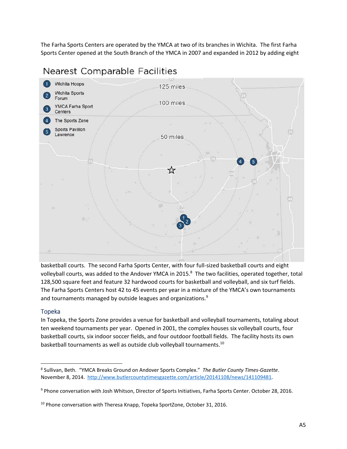The Farha Sports Centers are operated by the YMCA at two of its branches in Wichita. The first Farha Sports Center opened at the South Branch of the YMCA in 2007 and expanded in 2012 by adding eight



# **Nearest Comparable Facilities**

basketball courts. The second Farha Sports Center, with four full‐sized basketball courts and eight volleyball courts, was added to the Andover YMCA in 2015. $^8$  The two facilities, operated together, total 128,500 square feet and feature 32 hardwood courts for basketball and volleyball, and six turf fields. The Farha Sports Centers host 42 to 45 events per year in a mixture of the YMCA's own tournaments and tournaments managed by outside leagues and organizations.<sup>9</sup>

#### Topeka

In Topeka, the Sports Zone provides a venue for basketball and volleyball tournaments, totaling about ten weekend tournaments per year. Opened in 2001, the complex houses six volleyball courts, four basketball courts, six indoor soccer fields, and four outdoor football fields. The facility hosts its own basketball tournaments as well as outside club volleyball tournaments.<sup>10</sup>

<sup>8</sup> Sullivan, Beth. "YMCA Breaks Ground on Andover Sports Complex." *The Butler County Times‐Gazette*. November 8, 2014. http://www.butlercountytimesgazette.com/article/20141108/news/141109481.

<sup>9</sup> Phone conversation with Josh Whitson, Director of Sports Initiatives, Farha Sports Center. October 28, 2016.

<sup>&</sup>lt;sup>10</sup> Phone conversation with Theresa Knapp, Topeka SportZone, October 31, 2016.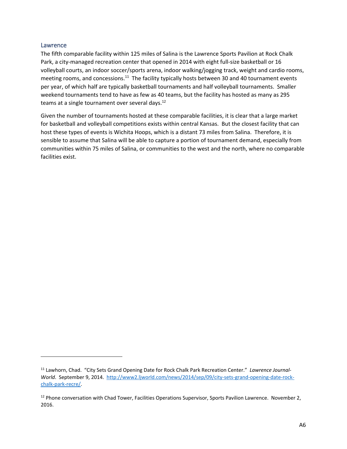#### Lawrence

The fifth comparable facility within 125 miles of Salina is the Lawrence Sports Pavilion at Rock Chalk Park, a city-managed recreation center that opened in 2014 with eight full-size basketball or 16 volleyball courts, an indoor soccer/sports arena, indoor walking/jogging track, weight and cardio rooms, meeting rooms, and concessions.<sup>11</sup> The facility typically hosts between 30 and 40 tournament events per year, of which half are typically basketball tournaments and half volleyball tournaments. Smaller weekend tournaments tend to have as few as 40 teams, but the facility has hosted as many as 295 teams at a single tournament over several days.<sup>12</sup>

Given the number of tournaments hosted at these comparable facilities, it is clear that a large market for basketball and volleyball competitions exists within central Kansas. But the closest facility that can host these types of events is Wichita Hoops, which is a distant 73 miles from Salina. Therefore, it is sensible to assume that Salina will be able to capture a portion of tournament demand, especially from communities within 75 miles of Salina, or communities to the west and the north, where no comparable facilities exist.

<sup>11</sup> Lawhorn, Chad. "City Sets Grand Opening Date for Rock Chalk Park Recreation Center." *Lawrence Journal‐* World. September 9, 2014. http://www2.ljworld.com/news/2014/sep/09/city-sets-grand-opening-date-rockchalk‐park‐recre/.

<sup>&</sup>lt;sup>12</sup> Phone conversation with Chad Tower, Facilities Operations Supervisor, Sports Pavilion Lawrence. November 2, 2016.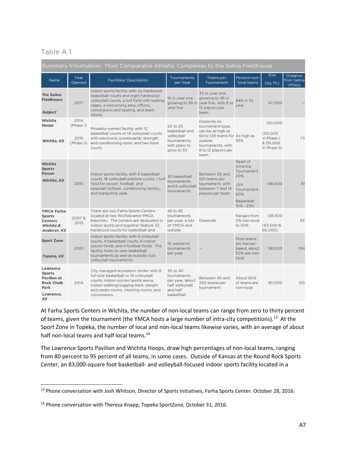### Table A 1

| Summary Information: Most Comparable Athletic Complexes to the Salina Fieldhouse                |                           |                                                                                                                                                                                                                                       |                                                                                         |                                                                                                                                                      |                                                                                                                   |                                                               |                                           |  |  |
|-------------------------------------------------------------------------------------------------|---------------------------|---------------------------------------------------------------------------------------------------------------------------------------------------------------------------------------------------------------------------------------|-----------------------------------------------------------------------------------------|------------------------------------------------------------------------------------------------------------------------------------------------------|-------------------------------------------------------------------------------------------------------------------|---------------------------------------------------------------|-------------------------------------------|--|--|
| Name                                                                                            | Year<br>Opened            | Facilities/Description                                                                                                                                                                                                                | Tournaments<br>per Year                                                                 | Teams per<br>Tournament                                                                                                                              | Percent non-<br>local teams                                                                                       | <b>Size</b><br>(Sq. Ft.)                                      | <b>Distance</b><br>from Salina<br>(Miles) |  |  |
| <b>The Salina</b><br><b>Fieldhouse</b><br>Subject                                               | 2017                      | Indoor sports facility with six hardwood<br>basketball courts and eight hardwood<br>volleyball courts, a turf field with batting<br>cages, a welcoming area, offices,<br>concessions and seating, and team<br>rooms.                  | 16 in year one,<br>growing to 26 in<br>year five                                        | 33 in year one,<br>growing to 46 in<br>year five, with 8 to<br>12 players per<br>team                                                                | 84% in 1st<br>year                                                                                                | 67.000                                                        |                                           |  |  |
| Wichita<br>Hoops<br>Wichita, KS                                                                 | 2014<br>(Phase I)<br>2016 | Privately-owned facility with 12<br>basketball courts or 14 volleyball courts<br>with electronic scoreboards, strength<br>(Phase II) and conditioning room, and two food<br>courts.                                                   | 20 to 25<br>basketball and<br>volleyball<br>tournaments,<br>with plans to<br>grow to 30 | Depends on<br>tournament type,<br>can be as high as<br>64 to 128 teams for As high as<br>outside<br>tournaments, with<br>8 to 12 players per<br>team | 95%                                                                                                               | 100,000<br>(50,000)<br>in Phase I<br>& 50,000<br>in Phase II) | 73                                        |  |  |
| Wichita<br><b>Sports</b><br>Forum<br>Wichita, KS                                                | 2015                      | Indoor sports facility with 6 basketball<br>courts, 18 volleyball practice courts, 1 turf<br>field for soccer, football, and<br>baseball/softball, conditioning facility,<br>and trampoline park.                                     | 30 basketball<br>tournaments<br>and 8 volleyball<br>tournaments                         | Between 30 and<br>120 teams per<br>tournament, with<br>between 7 and 14<br>players per team.                                                         | Heart of<br>America<br>Tournament<br>20%<br><b>JVA</b><br>Tournament<br>60%<br><b>Basketball</b><br>$10\% - 25\%$ | 148,000                                                       | 81                                        |  |  |
| <b>YMCA Farha</b><br><b>Sports</b><br><b>Centers</b><br>Wichita &<br><b>Andover, KS</b>         | 2007&<br>2015             | There are two Farha Sports Centers<br>located at two Wichita-area YMCA<br>branches. The centers are dedicated to<br>indoor sports and together feature 32<br>hardwood courts for basketball and                                       | 42 to 45<br>tournaments<br>per year, a mix<br>of YMCA and<br>outside                    | Depends                                                                                                                                              | Ranges from<br>0% non-local<br>to 30%                                                                             | 128,500<br>$(63,500 \&$<br>65,000)                            | 83                                        |  |  |
| <b>Sport Zone</b><br>Topeka, KS                                                                 | 2001                      | Indoor sports facility with 6 volleyball<br>courts, 4 basketball courts, 6 indoor<br>soccer fields, and 4 football fields. The<br>facility hosts its own basketball<br>tournaments as well as outside club<br>volleyball tournaments. | 10 weekend<br>tournaments<br>per year                                                   |                                                                                                                                                      | Most teams<br>are Kansas-<br>based, about<br>50% are non-<br>local                                                | 98,000                                                        | 104                                       |  |  |
| Lawrence<br><b>Sports</b><br><b>Pavilion at</b><br><b>Rock Chalk</b><br>Park<br>Lawrence,<br>KS | 2014                      | City managed recreation center with 8<br>full-size basketball or 16 volleyball<br>courts, indoor soccer/sports arena,<br>indoor walking/jogging track, weight<br>and cardio rooms, meeting rooms, and<br>concessions.                 | 30 to 40<br>tournaments<br>per year, about<br>half volleyball<br>and half<br>basketball | Between 40 and<br>250 teams per<br>tournament                                                                                                        | About 80%<br>of teams are<br>non-local                                                                            | 181,000                                                       | 125                                       |  |  |

At Farha Sports Centers in Wichita, the number of non‐local teams can range from zero to thirty percent of teams, given the tournament (the YMCA hosts a large number of intra-city competitions).<sup>13</sup> At the Sport Zone in Topeka, the number of local and non‐local teams likewise varies, with an average of about half non-local teams and half local teams.<sup>14</sup>

The Lawrence Sports Pavilion and Wichita Hoops, draw high percentages of non‐local teams, ranging from 80 percent to 95 percent of all teams, in some cases. Outside of Kansas at the Round Rock Sports Center, an 83,000‐square foot basketball‐ and volleyball‐focused indoor sports facility located in a

<sup>&</sup>lt;sup>13</sup> Phone conversation with Josh Whitson, Director of Sports Initiatives, Farha Sports Center. October 28, 2016.

<sup>&</sup>lt;sup>14</sup> Phone conversation with Theresa Knapp, Topeka SportZone, October 31, 2016.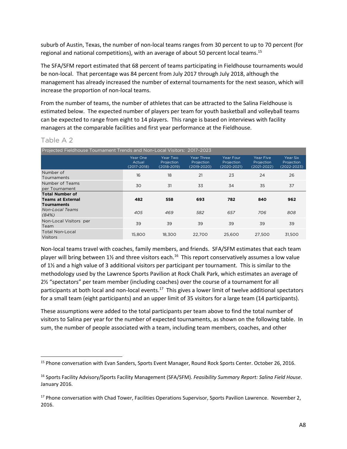suburb of Austin, Texas, the number of non‐local teams ranges from 30 percent to up to 70 percent (for regional and national competitions), with an average of about 50 percent local teams.<sup>15</sup>

The SFA/SFM report estimated that 68 percent of teams participating in Fieldhouse tournaments would be non-local. That percentage was 84 percent from July 2017 through July 2018, although the management has already increased the number of external tournaments for the next season, which will increase the proportion of non‐local teams.

From the number of teams, the number of athletes that can be attracted to the Salina Fieldhouse is estimated below. The expected number of players per team for youth basketball and volleyball teams can be expected to range from eight to 14 players. This range is based on interviews with facility managers at the comparable facilities and first year performance at the Fieldhouse.

#### Table A 2

| Projected Fieldhouse Tournament Trends and Non-Local Visitors: 2017-2023 |                                   |                                           |                                         |                                        |                                                   |                                       |  |  |
|--------------------------------------------------------------------------|-----------------------------------|-------------------------------------------|-----------------------------------------|----------------------------------------|---------------------------------------------------|---------------------------------------|--|--|
|                                                                          | Year One<br>Actual<br>(2017-2018) | Year Two<br>Projection<br>$(2018 - 2019)$ | Year Three<br>Projection<br>(2019-2020) | Year Four<br>Projection<br>(2020-2021) | <b>Year Five</b><br>Projection<br>$(2021 - 2022)$ | Year Six<br>Projection<br>(2022-2023) |  |  |
| Number of<br>Tournaments                                                 | 16                                | 18                                        | 21                                      | 23                                     | 24                                                | 26                                    |  |  |
| Number of Teams<br>per Tournament                                        | 30                                | 31                                        | 33                                      | 34                                     | 35                                                | 37                                    |  |  |
| <b>Total Number of</b><br><b>Teams at External</b><br><b>Tournaments</b> | 482                               | 558                                       | 693                                     | 782                                    | 840                                               | 962                                   |  |  |
| Non-Local Teams<br>(84%)                                                 | 405                               | 469                                       | 582                                     | 657                                    | 706                                               | 808                                   |  |  |
| Non-Local Visitors per<br>Team                                           | 39                                | 39                                        | 39                                      | 39                                     | 39                                                | 39                                    |  |  |
| Total Non-Local<br><b>Visitors</b>                                       | 15,800                            | 18,300                                    | 22.700                                  | 25,600                                 | 27,500                                            | 31,500                                |  |  |

Non‐local teams travel with coaches, family members, and friends. SFA/SFM estimates that each team player will bring between  $1\frac{1}{2}$  and three visitors each.<sup>16</sup> This report conservatively assumes a low value of 1½ and a high value of 3 additional visitors per participant per tournament. This is similar to the methodology used by the Lawrence Sports Pavilion at Rock Chalk Park, which estimates an average of 2½ "spectators" per team member (including coaches) over the course of a tournament for all participants at both local and non-local events.<sup>17</sup> This gives a lower limit of twelve additional spectators for a small team (eight participants) and an upper limit of 35 visitors for a large team (14 participants).

These assumptions were added to the total participants per team above to find the total number of visitors to Salina per year for the number of expected tournaments, as shown on the following table. In sum, the number of people associated with a team, including team members, coaches, and other

<sup>15</sup> Phone conversation with Evan Sanders, Sports Event Manager, Round Rock Sports Center. October 26, 2016.

<sup>16</sup> Sports Facility Advisory/Sports Facility Management (SFA/SFM). *Feasibility Summary Report: Salina Field House*. January 2016.

<sup>&</sup>lt;sup>17</sup> Phone conversation with Chad Tower, Facilities Operations Supervisor, Sports Pavilion Lawrence. November 2, 2016.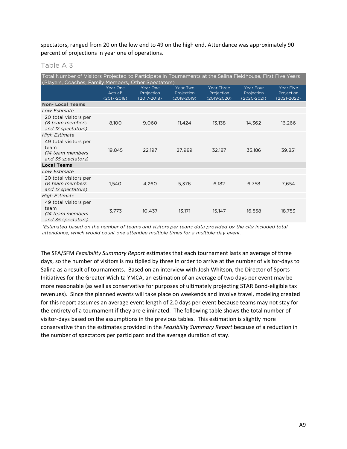spectators, ranged from 20 on the low end to 49 on the high end. Attendance was approximately 90 percent of projections in year one of operations.

| an. |  |  |  |  |
|-----|--|--|--|--|
|-----|--|--|--|--|

| Total Number of Visitors Projected to Participate in Tournaments at the Salina Fieldhouse, First Five Years<br>(Players, Coaches, Family Members, Other Spectators) |                                    |                                       |                                       |                                                |                                                   |                                                   |
|---------------------------------------------------------------------------------------------------------------------------------------------------------------------|------------------------------------|---------------------------------------|---------------------------------------|------------------------------------------------|---------------------------------------------------|---------------------------------------------------|
|                                                                                                                                                                     | Year One<br>Actual*<br>(2017-2018) | Year One<br>Projection<br>(2017-2018) | Year Two<br>Projection<br>(2018-2019) | <b>Year Three</b><br>Projection<br>(2019-2020) | <b>Year Four</b><br>Projection<br>$(2020 - 2021)$ | <b>Year Five</b><br>Projection<br>$(2021 - 2022)$ |
| <b>Non-Local Teams</b>                                                                                                                                              |                                    |                                       |                                       |                                                |                                                   |                                                   |
| Low Estimate                                                                                                                                                        |                                    |                                       |                                       |                                                |                                                   |                                                   |
| 20 total visitors per<br>(8 team members<br>and 12 spectators)                                                                                                      | 8,100                              | 9,060                                 | 11,424                                | 13,138                                         | 14,362                                            | 16,266                                            |
| <b>High Estimate</b>                                                                                                                                                |                                    |                                       |                                       |                                                |                                                   |                                                   |
| 49 total visitors per<br>team<br>(14 team members<br>and 35 spectators)                                                                                             | 19,845                             | 22,197                                | 27,989                                | 32,187                                         | 35,186                                            | 39,851                                            |
| <b>Local Teams</b>                                                                                                                                                  |                                    |                                       |                                       |                                                |                                                   |                                                   |
| Low Estimate                                                                                                                                                        |                                    |                                       |                                       |                                                |                                                   |                                                   |
| 20 total visitors per<br>(8 team members<br>and 12 spectators)                                                                                                      | 1,540                              | 4,260                                 | 5,376                                 | 6,182                                          | 6,758                                             | 7,654                                             |
| <b>High Estimate</b>                                                                                                                                                |                                    |                                       |                                       |                                                |                                                   |                                                   |
| 49 total visitors per<br>team<br>(14 team members<br>and 35 spectators)                                                                                             | 3,773                              | 10,437                                | 13,171                                | 15,147                                         | 16,558                                            | 18,753                                            |

*\*Estimated based on the number of teams and visitors per team; data provided by the city included total attendance, which would count one attendee multiple times for a multiple-day event.*

The SFA/SFM *Feasibility Summary Report* estimates that each tournament lasts an average of three days, so the number of visitors is multiplied by three in order to arrive at the number of visitor‐days to Salina as a result of tournaments. Based on an interview with Josh Whitson, the Director of Sports Initiatives for the Greater Wichita YMCA, an estimation of an average of two days per event may be more reasonable (as well as conservative for purposes of ultimately projecting STAR Bond‐eligible tax revenues). Since the planned events will take place on weekends and involve travel, modeling created for this report assumes an average event length of 2.0 days per event because teams may not stay for the entirety of a tournament if they are eliminated. The following table shows the total number of visitor‐days based on the assumptions in the previous tables. This estimation is slightly more conservative than the estimates provided in the *Feasibility Summary Report* because of a reduction in the number of spectators per participant and the average duration of stay.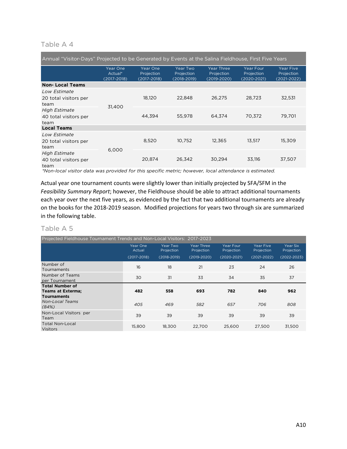#### Table A 4

| Annual "Visitor-Days" Projected to be Generated by Events at the Salina Fieldhouse, First Five Years |                                    |                                       |                                              |                                                    |                                        |                                        |  |
|------------------------------------------------------------------------------------------------------|------------------------------------|---------------------------------------|----------------------------------------------|----------------------------------------------------|----------------------------------------|----------------------------------------|--|
|                                                                                                      | Year One<br>Actual*<br>(2017-2018) | Year One<br>Projection<br>(2017-2018) | <b>Year Two</b><br>Projection<br>(2018-2019) | <b>Year Three</b><br>Projection<br>$(2019 - 2020)$ | Year Four<br>Projection<br>(2020-2021) | Year Five<br>Projection<br>(2021-2022) |  |
| <b>Non-Local Teams</b>                                                                               |                                    |                                       |                                              |                                                    |                                        |                                        |  |
| Low Estimate<br>20 total visitors per<br>team                                                        | 31.400                             | 18,120                                | 22,848                                       | 26,275                                             | 28,723                                 | 32,531                                 |  |
| <b>High Estimate</b><br>40 total visitors per<br>team                                                |                                    | 44.394                                | 55,978                                       | 64.374                                             | 70.372                                 | 79.701                                 |  |
| <b>Local Teams</b>                                                                                   |                                    |                                       |                                              |                                                    |                                        |                                        |  |
| Low Estimate<br>20 total visitors per<br>team                                                        |                                    | 8,520                                 | 10.752                                       | 12,365                                             | 13.517                                 | 15.309                                 |  |
| <b>High Estimate</b><br>40 total visitors per<br>team                                                | 6.000                              | 20,874                                | 26,342                                       | 30,294                                             | 33,116                                 | 37,507                                 |  |

*\*Non-local visitor data was provided for this specific metric; however, local attendance is estimated.*

Actual year one tournament counts were slightly lower than initially projected by SFA/SFM in the *Feasibility Summary Report*; however, the Fieldhouse should be able to attract additional tournaments each year over the next five years, as evidenced by the fact that two additional tournaments are already on the books for the 2018‐2019 season. Modified projections for years two through six are summarized in the following table.

#### Table A 5

| Projected Fieldhouse Tournament Trends and Non-Local Visitors: 2017-2023 |                                       |                                           |                                             |                                            |                                                   |                                           |  |
|--------------------------------------------------------------------------|---------------------------------------|-------------------------------------------|---------------------------------------------|--------------------------------------------|---------------------------------------------------|-------------------------------------------|--|
|                                                                          | Year One<br>Actual<br>$(2017 - 2018)$ | Year Two<br>Projection<br>$(2018 - 2019)$ | Year Three<br>Projection<br>$(2019 - 2020)$ | Year Four<br>Projection<br>$(2020 - 2021)$ | <b>Year Five</b><br>Projection<br>$(2021 - 2022)$ | Year Six<br>Projection<br>$(2022 - 2023)$ |  |
| Number of<br>Tournaments                                                 | 16                                    | 18                                        | 21                                          | 23                                         | 24                                                | 26                                        |  |
| Number of Teams<br>per Tournament                                        | 30                                    | 31                                        | 33                                          | 34                                         | 35                                                | 37                                        |  |
| <b>Total Number of</b>                                                   |                                       |                                           |                                             |                                            |                                                   |                                           |  |
| <b>Teams at Exterma;</b>                                                 | 482                                   | 558                                       | 693                                         | 782                                        | 840                                               | 962                                       |  |
| <b>Tournaments</b><br>Non-Local Teams<br>(84%)                           | 405                                   | 469                                       | 582                                         | 657                                        | 706                                               | 808                                       |  |
| Non-Local Visitors per<br>Team                                           | 39                                    | 39                                        | 39                                          | 39                                         | 39                                                | 39                                        |  |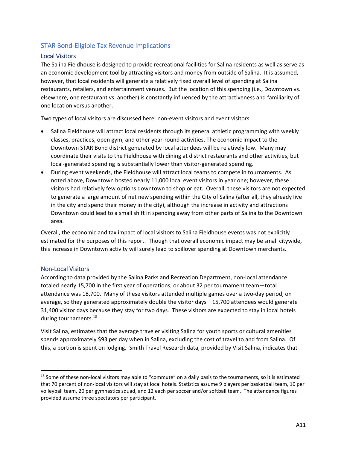#### STAR Bond‐Eligible Tax Revenue Implications

#### Local Visitors

The Salina Fieldhouse is designed to provide recreational facilities for Salina residents as well as serve as an economic development tool by attracting visitors and money from outside of Salina. It is assumed, however, that local residents will generate a relatively fixed overall level of spending at Salina restaurants, retailers, and entertainment venues. But the location of this spending (i.e., Downtown vs. elsewhere, one restaurant vs. another) is constantly influenced by the attractiveness and familiarity of one location versus another.

Two types of local visitors are discussed here: non-event visitors and event visitors.

- Salina Fieldhouse will attract local residents through its general athletic programming with weekly classes, practices, open gym, and other year‐round activities. The economic impact to the Downtown STAR Bond district generated by local attendees will be relatively low. Many may coordinate their visits to the Fieldhouse with dining at district restaurants and other activities, but local-generated spending is substantially lower than visitor-generated spending.
- During event weekends, the Fieldhouse will attract local teams to compete in tournaments. As noted above, Downtown hosted nearly 11,000 local event visitors in year one; however, these visitors had relatively few options downtown to shop or eat. Overall, these visitors are not expected to generate a large amount of net new spending within the City of Salina (after all, they already live in the city and spend their money in the city), although the increase in activity and attractions Downtown could lead to a small shift in spending away from other parts of Salina to the Downtown area.

Overall, the economic and tax impact of local visitors to Salina Fieldhouse events was not explicitly estimated for the purposes of this report. Though that overall economic impact may be small citywide, this increase in Downtown activity will surely lead to spillover spending at Downtown merchants.

#### Non‐Local Visitors

According to data provided by the Salina Parks and Recreation Department, non‐local attendance totaled nearly 15,700 in the first year of operations, or about 32 per tournament team—total attendance was 18,700. Many of these visitors attended multiple games over a two-day period, on average, so they generated approximately double the visitor days—15,700 attendees would generate 31,400 visitor days because they stay for two days*.* These visitors are expected to stay in local hotels during tournaments.18

Visit Salina, estimates that the average traveler visiting Salina for youth sports or cultural amenities spends approximately \$93 per day when in Salina, excluding the cost of travel to and from Salina. Of this, a portion is spent on lodging. Smith Travel Research data, provided by Visit Salina, indicates that

 $18$  Some of these non-local visitors may able to "commute" on a daily basis to the tournaments, so it is estimated that 70 percent of non‐local visitors will stay at local hotels. Statistics assume 9 players per basketball team, 10 per volleyball team, 20 per gymnastics squad, and 12 each per soccer and/or softball team. The attendance figures provided assume three spectators per participant.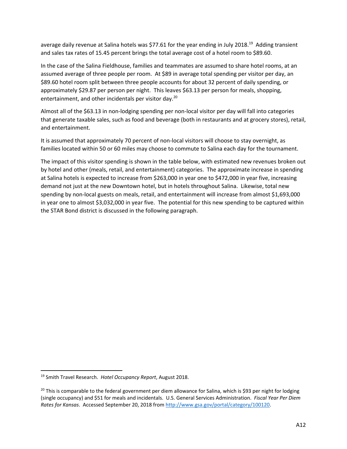average daily revenue at Salina hotels was \$77.61 for the year ending in July 2018.<sup>19</sup> Adding transient and sales tax rates of 15.45 percent brings the total average cost of a hotel room to \$89.60.

In the case of the Salina Fieldhouse, families and teammates are assumed to share hotel rooms, at an assumed average of three people per room. At \$89 in average total spending per visitor per day, an \$89.60 hotel room split between three people accounts for about 32 percent of daily spending, or approximately \$29.87 per person per night. This leaves \$63.13 per person for meals, shopping, entertainment, and other incidentals per visitor day.<sup>20</sup>

Almost all of the \$63.13 in non‐lodging spending per non‐local visitor per day will fall into categories that generate taxable sales, such as food and beverage (both in restaurants and at grocery stores), retail, and entertainment.

It is assumed that approximately 70 percent of non-local visitors will choose to stay overnight, as families located within 50 or 60 miles may choose to commute to Salina each day for the tournament.

The impact of this visitor spending is shown in the table below, with estimated new revenues broken out by hotel and other (meals, retail, and entertainment) categories. The approximate increase in spending at Salina hotels is expected to increase from \$263,000 in year one to \$472,000 in year five, increasing demand not just at the new Downtown hotel, but in hotels throughout Salina. Likewise, total new spending by non-local guests on meals, retail, and entertainment will increase from almost \$1,693,000 in year one to almost \$3,032,000 in year five. The potential for this new spending to be captured within the STAR Bond district is discussed in the following paragraph.

<sup>19</sup> Smith Travel Research. *Hotel Occupancy Report*, August 2018.

 $20$  This is comparable to the federal government per diem allowance for Salina, which is \$93 per night for lodging (single occupancy) and \$51 for meals and incidentals. U.S. General Services Administration. *Fiscal Year Per Diem Rates for Kansas*. Accessed September 20, 2018 from http://www.gsa.gov/portal/category/100120.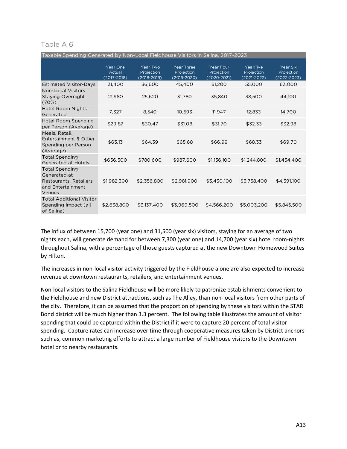#### Table A 6

| Taxable Spending Generated by Non-Local Fieldhouse Visitors in Salina, 2017-2023                |                                       |                                           |                                                    |                                            |                                           |                                           |
|-------------------------------------------------------------------------------------------------|---------------------------------------|-------------------------------------------|----------------------------------------------------|--------------------------------------------|-------------------------------------------|-------------------------------------------|
|                                                                                                 | Year One<br>Actual<br>$(2017 - 2018)$ | Year Two<br>Projection<br>$(2018 - 2019)$ | <b>Year Three</b><br>Projection<br>$(2019 - 2020)$ | Year Four<br>Projection<br>$(2020 - 2021)$ | YearFive<br>Projection<br>$(2021 - 2022)$ | Year Six<br>Projection<br>$(2022 - 2023)$ |
| <b>Estimated Visitor-Days</b>                                                                   | 31.400                                | 36,600                                    | 45,400                                             | 51,200                                     | 55,000                                    | 63,000                                    |
| Non-Local Visitors<br><b>Staying Overnight</b><br>(70%)                                         | 21,980                                | 25,620                                    | 31,780                                             | 35,840                                     | 38,500                                    | 44,100                                    |
| Hotel Room Nights<br>Generated                                                                  | 7,327                                 | 8,540                                     | 10,593                                             | 11,947                                     | 12,833                                    | 14,700                                    |
| <b>Hotel Room Spending</b><br>per Person (Average)                                              | \$29.87                               | \$30.47                                   | \$31.08                                            | \$31.70                                    | \$32.33                                   | \$32.98                                   |
| Meals, Retail,<br>Entertainment & Other<br>Spending per Person<br>(Average)                     | \$63.13                               | \$64.39                                   | \$65.68                                            | \$66.99                                    | \$68.33                                   | \$69.70                                   |
| <b>Total Spending</b><br><b>Generated at Hotels</b>                                             | \$656,500                             | \$780,600                                 | \$987,600                                          | \$1,136,100                                | \$1,244,800                               | \$1,454,400                               |
| <b>Total Spending</b><br>Generated at<br>Restaurants, Retailers,<br>and Entertainment<br>Venues | \$1,982,300                           | \$2,356,800                               | \$2,981,900                                        | \$3,430,100                                | \$3,758,400                               | \$4,391,100                               |
| <b>Total Additional Visitor</b><br>Spending Impact (all<br>of Salina)                           | \$2,638,800                           | \$3,137,400                               | \$3,969,500                                        | \$4,566,200                                | \$5,003,200                               | \$5,845,500                               |

The influx of between 15,700 (year one) and 31,500 (year six) visitors, staying for an average of two nights each, will generate demand for between 7,300 (year one) and 14,700 (year six) hotel room‐nights throughout Salina, with a percentage of those guests captured at the new Downtown Homewood Suites by Hilton.

The increases in non-local visitor activity triggered by the Fieldhouse alone are also expected to increase revenue at downtown restaurants, retailers, and entertainment venues.

Non‐local visitors to the Salina Fieldhouse will be more likely to patronize establishments convenient to the Fieldhouse and new District attractions, such as The Alley, than non‐local visitors from other parts of the city. Therefore, it can be assumed that the proportion of spending by these visitors within the STAR Bond district will be much higher than 3.3 percent. The following table illustrates the amount of visitor spending that could be captured within the District if it were to capture 20 percent of total visitor spending. Capture rates can increase over time through cooperative measures taken by District anchors such as, common marketing efforts to attract a large number of Fieldhouse visitors to the Downtown hotel or to nearby restaurants.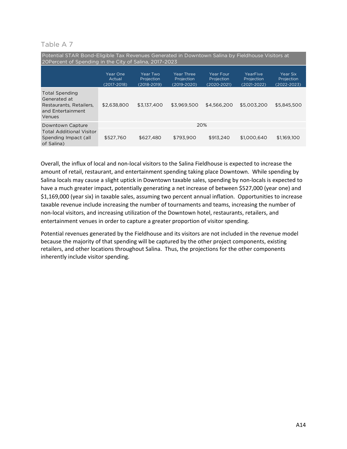#### Table A 7

| Potential STAR Bond-Eligible Tax Revenues Generated in Downtown Salina by Fieldhouse Visitors at<br>20Percent of Spending in the City of Salina, 2017-2023 |                                       |                                       |                                             |                                            |                                           |                                           |  |
|------------------------------------------------------------------------------------------------------------------------------------------------------------|---------------------------------------|---------------------------------------|---------------------------------------------|--------------------------------------------|-------------------------------------------|-------------------------------------------|--|
|                                                                                                                                                            | Year One<br>Actual<br>$(2017 - 2018)$ | Year Two<br>Projection<br>(2018-2019) | Year Three<br>Projection<br>$(2019 - 2020)$ | Year Four<br>Projection<br>$(2020 - 2021)$ | YearFive<br>Projection<br>$(2021 - 2022)$ | Year Six<br>Projection<br>$(2022 - 2023)$ |  |
| <b>Total Spending</b><br>Generated at<br>Restaurants, Retailers,<br>and Entertainment<br>Venues                                                            | \$2,638,800                           | \$3.137.400                           | \$3,969,500                                 | \$4,566,200                                | \$5,003,200                               | \$5,845,500                               |  |
| Downtown Capture                                                                                                                                           | 20%                                   |                                       |                                             |                                            |                                           |                                           |  |
| <b>Total Additional Visitor</b><br>Spending Impact (all<br>of Salina)                                                                                      | \$527.760                             | \$627,480                             | \$793.900                                   | \$913,240                                  | \$1,000.640                               | \$1,169,100                               |  |

Overall, the influx of local and non‐local visitors to the Salina Fieldhouse is expected to increase the amount of retail, restaurant, and entertainment spending taking place Downtown. While spending by Salina locals may cause a slight uptick in Downtown taxable sales, spending by non‐locals is expected to have a much greater impact, potentially generating a net increase of between \$527,000 (year one) and \$1,169,000 (year six) in taxable sales, assuming two percent annual inflation. Opportunities to increase taxable revenue include increasing the number of tournaments and teams, increasing the number of non‐local visitors, and increasing utilization of the Downtown hotel, restaurants, retailers, and entertainment venues in order to capture a greater proportion of visitor spending.

Potential revenues generated by the Fieldhouse and its visitors are not included in the revenue model because the majority of that spending will be captured by the other project components, existing retailers, and other locations throughout Salina. Thus, the projections for the other components inherently include visitor spending.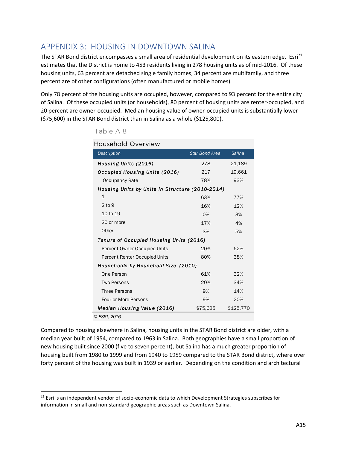# APPENDIX 3: HOUSING IN DOWNTOWN SALINA

The STAR Bond district encompasses a small area of residential development on its eastern edge.  $E\sin^{21}$ estimates that the District is home to 453 residents living in 278 housing units as of mid‐2016. Of these housing units, 63 percent are detached single family homes, 34 percent are multifamily, and three percent are of other configurations (often manufactured or mobile homes).

Only 78 percent of the housing units are occupied, however, compared to 93 percent for the entire city of Salina. Of these occupied units (or households), 80 percent of housing units are renter‐occupied, and 20 percent are owner‐occupied. Median housing value of owner‐occupied units is substantially lower (\$75,600) in the STAR Bond district than in Salina as a whole (\$125,800).

| <b>Household Overview</b>                       |                |               |
|-------------------------------------------------|----------------|---------------|
| Description                                     | Star Bond Area | <b>Salina</b> |
| Housing Units (2016)                            | 278            | 21,189        |
| Occupied Housing Units (2016)                   | 217            | 19,661        |
| Occupancy Rate                                  | 78%            | 93%           |
| Housing Units by Units in Structure (2010-2014) |                |               |
| 1                                               | 63%            | 77%           |
| 2 <sub>to</sub> 9                               | 16%            | 12%           |
| 10 to 19                                        | 0%             | 3%            |
| 20 or more                                      | 17%            | 4%            |
| Other                                           | 3%             | 5%            |
| Tenure of Occupied Housing Units (2016)         |                |               |
| Percent Owner Occupied Units                    | 20%            | 62%           |
| Percent Renter Occupied Units                   | 80%            | 38%           |
| Households by Household Size (2010)             |                |               |
| One Person                                      | 61%            | 32%           |
| <b>Two Persons</b>                              | 20%            | 34%           |
| <b>Three Persons</b>                            | 9%             | 14%           |
| Four or More Persons                            | 9%             | 20%           |
| Median Housing Value (2016)                     | \$75,625       | \$125,770     |
| © ESRI, 2016                                    |                |               |

Table A 8

Compared to housing elsewhere in Salina, housing units in the STAR Bond district are older, with a median year built of 1954, compared to 1963 in Salina. Both geographies have a small proportion of new housing built since 2000 (five to seven percent), but Salina has a much greater proportion of housing built from 1980 to 1999 and from 1940 to 1959 compared to the STAR Bond district, where over forty percent of the housing was built in 1939 or earlier. Depending on the condition and architectural

<sup>&</sup>lt;sup>21</sup> Esri is an independent vendor of socio-economic data to which Development Strategies subscribes for information in small and non‐standard geographic areas such as Downtown Salina.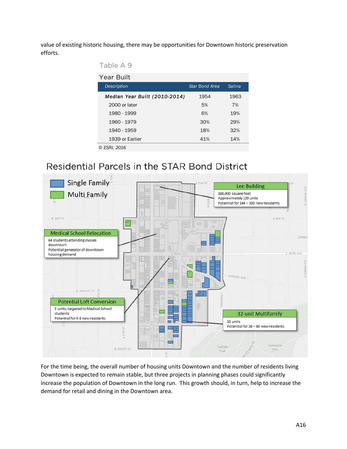value of existing historic housing, there may be opportunities for Downtown historic preservation efforts.

| Table A 9 |
|-----------|
|           |

| Year Built                    |                       |        |
|-------------------------------|-----------------------|--------|
| Description                   | <b>Star Bond Area</b> | Salina |
| Median Year Built (2010-2014) | 1954                  | 1963   |
| 2000 or later                 | 5%                    | 7%     |
| 1980 - 1999                   | 6%                    | 19%    |
| 1960 - 1979                   | 30%                   | 29%    |
| 1940 - 1959                   | 18%                   | 32%    |
| 1939 or Earlier               | 41%                   | 14%    |
| © ESRI. 2016                  |                       |        |

# Residential Parcels in the STAR Bond District



For the time being, the overall number of housing units Downtown and the number of residents living Downtown is expected to remain stable, but three projects in planning phases could significantly increase the population of Downtown in the long run. This growth should, in turn, help to increase the demand for retail and dining in the Downtown area.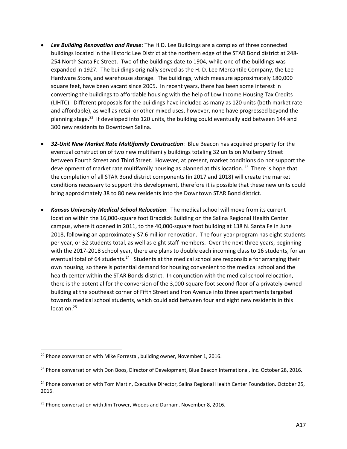- *Lee Building Renovation and Reuse*: The H.D. Lee Buildings are a complex of three connected buildings located in the Historic Lee District at the northern edge of the STAR Bond district at 248‐ 254 North Santa Fe Street. Two of the buildings date to 1904, while one of the buildings was expanded in 1927. The buildings originally served as the H. D. Lee Mercantile Company, the Lee Hardware Store, and warehouse storage. The buildings, which measure approximately 180,000 square feet, have been vacant since 2005. In recent years, there has been some interest in converting the buildings to affordable housing with the help of Low Income Housing Tax Credits (LIHTC). Different proposals for the buildings have included as many as 120 units (both market rate and affordable), as well as retail or other mixed uses, however, none have progressed beyond the planning stage.<sup>22</sup> If developed into 120 units, the building could eventually add between 144 and 300 new residents to Downtown Salina.
- *32‐Unit New Market Rate Multifamily Construction*: Blue Beacon has acquired property for the eventual construction of two new multifamily buildings totaling 32 units on Mulberry Street between Fourth Street and Third Street. However, at present, market conditions do not support the development of market rate multifamily housing as planned at this location.<sup>23</sup> There is hope that the completion of all STAR Bond district components (in 2017 and 2018) will create the market conditions necessary to support this development, therefore it is possible that these new units could bring approximately 38 to 80 new residents into the Downtown STAR Bond district.
- *Kansas University Medical School Relocation*: The medical school will move from its current location within the 16,000‐square foot Braddick Building on the Salina Regional Health Center campus, where it opened in 2011, to the 40,000‐square foot building at 138 N. Santa Fe in June 2018, following an approximately \$7.6 million renovation. The four‐year program has eight students per year, or 32 students total, as well as eight staff members. Over the next three years, beginning with the 2017-2018 school year, there are plans to double each incoming class to 16 students, for an eventual total of 64 students.<sup>24</sup> Students at the medical school are responsible for arranging their own housing, so there is potential demand for housing convenient to the medical school and the health center within the STAR Bonds district. In conjunction with the medical school relocation, there is the potential for the conversion of the 3,000‐square foot second floor of a privately‐owned building at the southeast corner of Fifth Street and Iron Avenue into three apartments targeted towards medical school students, which could add between four and eight new residents in this location.<sup>25</sup>

 $22$  Phone conversation with Mike Forrestal, building owner, November 1, 2016.

<sup>&</sup>lt;sup>23</sup> Phone conversation with Don Boos, Director of Development, Blue Beacon International, Inc. October 28, 2016.

<sup>&</sup>lt;sup>24</sup> Phone conversation with Tom Martin, Executive Director, Salina Regional Health Center Foundation. October 25, 2016.

<sup>&</sup>lt;sup>25</sup> Phone conversation with Jim Trower, Woods and Durham. November 8, 2016.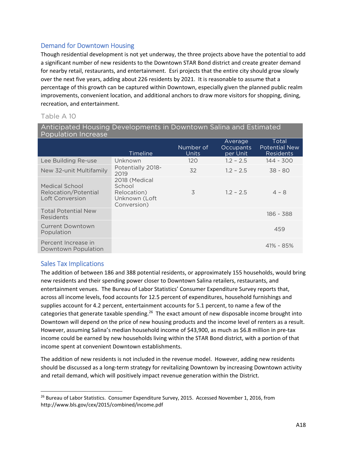### Demand for Downtown Housing

Though residential development is not yet underway, the three projects above have the potential to add a significant number of new residents to the Downtown STAR Bond district and create greater demand for nearby retail, restaurants, and entertainment. Esri projects that the entire city should grow slowly over the next five years, adding about 226 residents by 2021. It is reasonable to assume that a percentage of this growth can be captured within Downtown, especially given the planned public realm improvements, convenient location, and additional anchors to draw more visitors for shopping, dining, recreation, and entertainment.

#### Table A 10

| Anticipated Housing Developments in Downtown Salina and Estimated<br><b>Population Increase</b> |                                                                        |                    |                                  |                                                   |  |
|-------------------------------------------------------------------------------------------------|------------------------------------------------------------------------|--------------------|----------------------------------|---------------------------------------------------|--|
|                                                                                                 | Timeline                                                               | Number of<br>Units | Average<br>Occupants<br>per Unit | Total<br><b>Potential New</b><br><b>Residents</b> |  |
| Lee Building Re-use                                                                             | Unknown                                                                | 120                | $1.2 - 2.5$                      | 144 - 300                                         |  |
| New 32-unit Multifamily                                                                         | Potentially 2018-<br>2019                                              | 32                 | $1.2 - 2.5$                      | $38 - 80$                                         |  |
| Medical School<br>Relocation/Potential<br>Loft Conversion                                       | 2018 (Medical<br>School<br>Relocation)<br>Unknown (Loft<br>Conversion) | 3                  | $1.2 - 2.5$                      | $4 - 8$                                           |  |
| <b>Total Potential New</b><br>Residents                                                         |                                                                        |                    |                                  | 186 - 388                                         |  |
| <b>Current Downtown</b><br>Population                                                           |                                                                        |                    |                                  | 459                                               |  |
| Percent Increase in<br>Downtown Population                                                      |                                                                        |                    |                                  | $41\% - 85\%$                                     |  |

### Sales Tax Implications

The addition of between 186 and 388 potential residents, or approximately 155 households, would bring new residents and their spending power closer to Downtown Salina retailers, restaurants, and entertainment venues. The Bureau of Labor Statistics' Consumer Expenditure Survey reports that, across all income levels, food accounts for 12.5 percent of expenditures, household furnishings and supplies account for 4.2 percent, entertainment accounts for 5.1 percent, to name a few of the categories that generate taxable spending.<sup>26</sup> The exact amount of new disposable income brought into Downtown will depend on the price of new housing products and the income level of renters as a result. However, assuming Salina's median household income of \$43,900, as much as \$6.8 million in pre-tax income could be earned by new households living within the STAR Bond district, with a portion of that income spent at convenient Downtown establishments.

The addition of new residents is not included in the revenue model. However, adding new residents should be discussed as a long‐term strategy for revitalizing Downtown by increasing Downtown activity and retail demand, which will positively impact revenue generation within the District.

 <sup>26</sup> Bureau of Labor Statistics. Consumer Expenditure Survey, 2015. Accessed November 1, 2016, from http://www.bls.gov/cex/2015/combined/income.pdf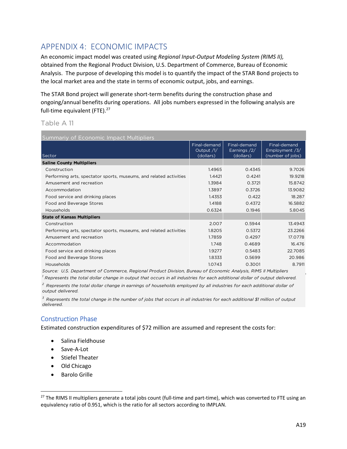# APPENDIX 4: ECONOMIC IMPACTS

An economic impact model was created using *Regional Input‐Output Modeling System (RIMS II),* obtained from the Regional Product Division, U.S. Department of Commerce, Bureau of Economic Analysis. The purpose of developing this model is to quantify the impact of the STAR Bond projects to the local market area and the state in terms of economic output, jobs, and earnings.

The STAR Bond project will generate short‐term benefits during the construction phase and ongoing/annual benefits during operations. All jobs numbers expressed in the following analysis are full-time equivalent (FTE).<sup>27</sup>

#### Table A 11

| Summariy of Economic Impact Multipliers                            |                                         |                                           |                                                      |  |  |  |
|--------------------------------------------------------------------|-----------------------------------------|-------------------------------------------|------------------------------------------------------|--|--|--|
| Sector                                                             | Final-demand<br>Output /1/<br>(dollars) | Final-demand<br>Earnings /2/<br>(dollars) | Final-demand<br>Employment $/3/$<br>(number of jobs) |  |  |  |
| <b>Saline County Multipliers</b>                                   |                                         |                                           |                                                      |  |  |  |
| Construction                                                       | 1.4965                                  | 0.4345                                    | 9.7026                                               |  |  |  |
| Performing arts, spectator sports, museums, and related activities | 1.4421                                  | 0.4241                                    | 19.9218                                              |  |  |  |
| Amusement and recreation                                           | 1.3984                                  | 0.3721                                    | 15.8742                                              |  |  |  |
| Accommodation                                                      | 1.3897                                  | 0.3726                                    | 13.9082                                              |  |  |  |
| Food service and drinking places                                   | 1.4353                                  | 0.422                                     | 18.287                                               |  |  |  |
| Food and Beverage Stores                                           | 1.4188                                  | 0.4372                                    | 16.5882                                              |  |  |  |
| Households                                                         | 0.6324                                  | 0.1946                                    | 5.8045                                               |  |  |  |
| <b>State of Kansas Multipliers</b>                                 |                                         |                                           |                                                      |  |  |  |
| Construction                                                       | 2.007                                   | 0.5944                                    | 13.4943                                              |  |  |  |
| Performing arts, spectator sports, museums, and related activities | 1.8205                                  | 0.5372                                    | 23.2266                                              |  |  |  |
| Amusement and recreation                                           | 1.7859                                  | 0.4297                                    | 17.0778                                              |  |  |  |
| Accommodation                                                      | 1.748                                   | 0.4689                                    | 16.476                                               |  |  |  |
| Food service and drinking places                                   | 1.9277                                  | 0.5483                                    | 22.7085                                              |  |  |  |
| Food and Beverage Stores                                           | 1.8333                                  | 0.5699                                    | 20.986                                               |  |  |  |
| Households                                                         | 1.0743                                  | 0.3001                                    | 8.7911                                               |  |  |  |

*Source: U.S. Department of Commerce, Regional Product Division, Bureau of Economic Analysis, RIMS II Multipliers*

*1 Represents the total dollar change in output that occurs in all industries for each additional dollar of output delivered. 2 Represents the total dollar change in earnings of households employed by all industries for each additional dollar of output delivered.*

*3 Represents the total change in the number of jobs that occurs in all industries for each additional \$1 million of output delivered.*

### Construction Phase

Estimated construction expenditures of \$72 million are assumed and represent the costs for:

- Salina Fieldhouse
- Save-A-Lot
- Stiefel Theater
- Old Chicago
- Barolo Grille

 $27$  The RIMS II multipliers generate a total jobs count (full-time and part-time), which was converted to FTE using an equivalency ratio of 0.951, which is the ratio for all sectors according to IMPLAN.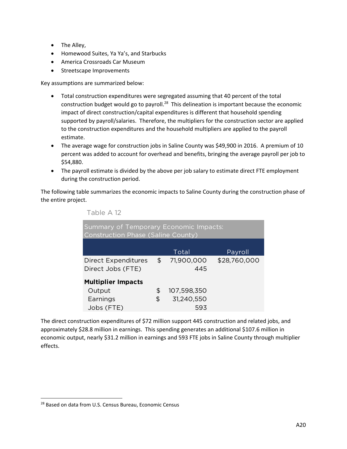- The Alley,
- Homewood Suites, Ya Ya's, and Starbucks
- America Crossroads Car Museum
- Streetscape Improvements

Key assumptions are summarized below:

- Total construction expenditures were segregated assuming that 40 percent of the total construction budget would go to payroll.28 This delineation is important because the economic impact of direct construction/capital expenditures is different that household spending supported by payroll/salaries. Therefore, the multipliers for the construction sector are applied to the construction expenditures and the household multipliers are applied to the payroll estimate.
- The average wage for construction jobs in Saline County was \$49,900 in 2016. A premium of 10 percent was added to account for overhead and benefits, bringing the average payroll per job to \$54,880.
- The payroll estimate is divided by the above per job salary to estimate direct FTE employment during the construction period.

The following table summarizes the economic impacts to Saline County during the construction phase of the entire project.

| Table A 12                                                                          |    |             |              |  |
|-------------------------------------------------------------------------------------|----|-------------|--------------|--|
| Summary of Temporary Economic Impacts:<br><b>Construction Phase (Saline County)</b> |    |             |              |  |
|                                                                                     |    | Total       | Payroll      |  |
| Direct Expenditures \$71,900,000                                                    |    |             | \$28,760,000 |  |
| Direct Jobs (FTE)                                                                   |    | 445         |              |  |
| <b>Multiplier Impacts</b>                                                           |    |             |              |  |
| Output                                                                              | \$ | 107,598,350 |              |  |
| Earnings                                                                            | \$ | 31,240,550  |              |  |
| Jobs (FTE)                                                                          |    | 593         |              |  |

The direct construction expenditures of \$72 million support 445 construction and related jobs, and approximately \$28.8 million in earnings. This spending generates an additional \$107.6 million in economic output, nearly \$31.2 million in earnings and 593 FTE jobs in Saline County through multiplier effects.

<sup>&</sup>lt;sup>28</sup> Based on data from U.S. Census Bureau, Economic Census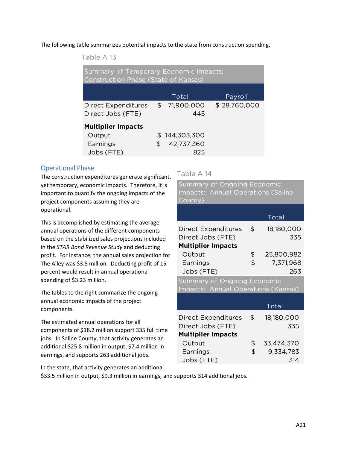The following table summarizes potential impacts to the state from construction spending.

Table A 13

| Summary of Temporary Economic Impacts:<br><b>Construction Phase (State of Kansas)</b> |               |                   |              |  |  |
|---------------------------------------------------------------------------------------|---------------|-------------------|--------------|--|--|
|                                                                                       |               |                   |              |  |  |
|                                                                                       |               | Total             | Payroll      |  |  |
| <b>Direct Expenditures</b><br>Direct Jobs (FTE)                                       | $\mathsf{\$}$ | 71,900,000<br>445 | \$28,760,000 |  |  |
| <b>Multiplier Impacts</b>                                                             |               |                   |              |  |  |
| Output                                                                                | \$.           | 144,303,300       |              |  |  |
| Earnings                                                                              | \$            | 42,737,360        |              |  |  |
| Jobs (FTE)                                                                            |               | 825               |              |  |  |

#### Operational Phase

The construction expenditures generate significant, yet temporary, economic impacts. Therefore, it is important to quantify the ongoing impacts of the project components assuming they are operational.

This is accomplished by estimating the average annual operations of the different components based on the stabilized sales projections included in the *STAR Bond Revenue Study* and deducting profit. For instance, the annual sales projection for The Alley was \$3.8 million. Deducting profit of 15 percent would result in annual operational spending of \$3.23 million.

The tables to the right summarize the ongoing annual economic impacts of the project components.

The estimated annual operations for all components of \$18.2 million support 335 full time jobs. In Saline County, that activity generates an additional \$25.8 million in output, \$7.4 million in earnings, and supports 263 additional jobs.

Table A 14

Total Direct Expenditures  $$$  18,180,000 Direct Jobs (FTE) 335 **Multiplier Impacts** Output \$ 25,800,982 Earnings \$ 7,371,968 Jobs (FTE) 263 Summary of Ongoing Economic Impacts: Annual Operations (Saline County) Total Direct Expenditures \$ 18,180,000 Direct Jobs (FTE) 335 **Multiplier Impacts** Output \$ 33,474,370 Summary of Ongoing Economic Impacts: Annual Operations (Kansas)

Earnings \$ 9,334,783 Jobs (FTE) 314

In the state, that activity generates an additional

\$33.5 million in output, \$9.3 million in earnings, and supports 314 additional jobs.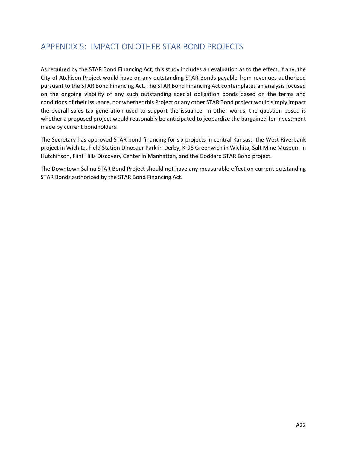# APPENDIX 5: IMPACT ON OTHER STAR BOND PROJECTS

As required by the STAR Bond Financing Act, this study includes an evaluation as to the effect, if any, the City of Atchison Project would have on any outstanding STAR Bonds payable from revenues authorized pursuant to the STAR Bond Financing Act. The STAR Bond Financing Act contemplates an analysis focused on the ongoing viability of any such outstanding special obligation bonds based on the terms and conditions of their issuance, not whether this Project or any other STAR Bond project would simply impact the overall sales tax generation used to support the issuance. In other words, the question posed is whether a proposed project would reasonably be anticipated to jeopardize the bargained-for investment made by current bondholders.

The Secretary has approved STAR bond financing for six projects in central Kansas: the West Riverbank project in Wichita, Field Station Dinosaur Park in Derby, K‐96 Greenwich in Wichita, Salt Mine Museum in Hutchinson, Flint Hills Discovery Center in Manhattan, and the Goddard STAR Bond project.

The Downtown Salina STAR Bond Project should not have any measurable effect on current outstanding STAR Bonds authorized by the STAR Bond Financing Act.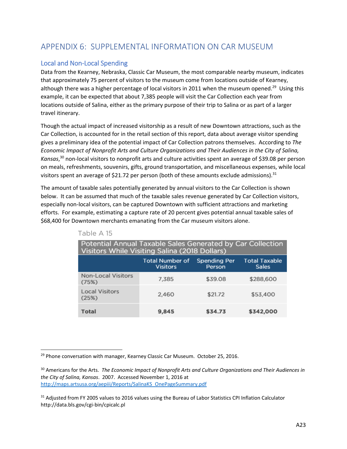# APPENDIX 6: SUPPLEMENTAL INFORMATION ON CAR MUSEUM

### Local and Non‐Local Spending

Data from the Kearney, Nebraska, Classic Car Museum, the most comparable nearby museum, indicates that approximately 75 percent of visitors to the museum come from locations outside of Kearney, although there was a higher percentage of local visitors in 2011 when the museum opened.<sup>29</sup> Using this example, it can be expected that about 7,385 people will visit the Car Collection each year from locations outside of Salina, either as the primary purpose of their trip to Salina or as part of a larger travel itinerary.

Though the actual impact of increased visitorship as a result of new Downtown attractions, such as the Car Collection, is accounted for in the retail section of this report, data about average visitor spending gives a preliminary idea of the potential impact of Car Collection patrons themselves. According to *The Economic Impact of Nonprofit Arts and Culture Organizations and Their Audiences in the City of Salina, Kansas*, 30 non‐local visitors to nonprofit arts and culture activities spent an average of \$39.08 per person on meals, refreshments, souvenirs, gifts, ground transportation, and miscellaneous expenses, while local visitors spent an average of \$21.72 per person (both of these amounts exclude admissions).<sup>31</sup>

The amount of taxable sales potentially generated by annual visitors to the Car Collection is shown below. It can be assumed that much of the taxable sales revenue generated by Car Collection visitors, especially non‐local visitors, can be captured Downtown with sufficient attractions and marketing efforts. For example, estimating a capture rate of 20 percent gives potential annual taxable sales of \$68,400 for Downtown merchants emanating from the Car museum visitors alone.

| Potential Annual Taxable Sales Generated by Car Collection<br>Visitors While Visiting Salina (2018 Dollars) |                                           |                               |                                      |  |  |  |
|-------------------------------------------------------------------------------------------------------------|-------------------------------------------|-------------------------------|--------------------------------------|--|--|--|
|                                                                                                             | <b>Total Number of</b><br><b>Visitors</b> | <b>Spending Per</b><br>Person | <b>Total Taxable</b><br><b>Sales</b> |  |  |  |
| <b>Non-Local Visitors</b><br>(75%)                                                                          | 7,385                                     | \$39.08                       | \$288,600                            |  |  |  |
| <b>Local Visitors</b><br>(25%)                                                                              | 2.460                                     | \$21.72                       | \$53,400                             |  |  |  |
| Total                                                                                                       | 9,845                                     | \$34.73                       | \$342,000                            |  |  |  |

Table A 15

<sup>29</sup> Phone conversation with manager, Kearney Classic Car Museum. October 25, 2016.

<sup>30</sup> Americans for the Arts. *The Economic Impact of Nonprofit Arts and Culture Organizations and Their Audiences in the City of Salina, Kansas*. 2007. Accessed November 1, 2016 at http://maps.artsusa.org/aepiii/Reports/SalinaKS\_OnePageSummary.pdf

<sup>&</sup>lt;sup>31</sup> Adiusted from FY 2005 values to 2016 values using the Bureau of Labor Statistics CPI Inflation Calculator http://data.bls.gov/cgi‐bin/cpicalc.pl